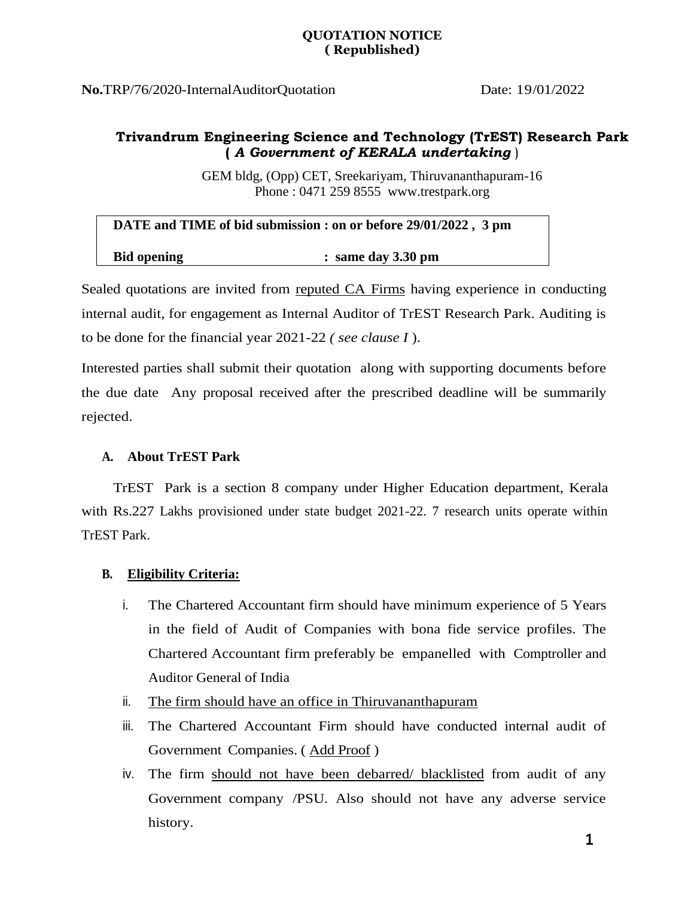**No.**TRP/76/2020-InternalAuditorQuotation Date: 19/01/2022

## **Trivandrum Engineering Science and Technology (TrEST) Research Park (** *A Government of KERALA undertaking* )

GEM bldg, (Opp) CET, Sreekariyam, Thiruvananthapuram-16 Phone : 0471 259 8555 www.trestpark.org

| DATE and TIME of bid submission : on or before 29/01/2022, 3 pm |                      |
|-----------------------------------------------------------------|----------------------|
| <b>Bid opening</b>                                              | $:$ same day 3.30 pm |

Sealed quotations are invited from reputed CA Firms having experience in conducting internal audit, for engagement as Internal Auditor of TrEST Research Park. Auditing is to be done for the financial year 2021-22 *( see clause I* ).

Interested parties shall submit their quotation along with supporting documents before the due date Any proposal received after the prescribed deadline will be summarily rejected.

#### **A. About TrEST Park**

TrEST Park is a section 8 company under Higher Education department, Kerala with Rs.227 Lakhs provisioned under state budget 2021-22. 7 research units operate within TrEST Park.

#### **B. Eligibility Criteria:**

- i. The Chartered Accountant firm should have minimum experience of 5 Years in the field of Audit of Companies with bona fide service profiles. The Chartered Accountant firm preferably be empanelled with Comptroller and Auditor General of India
- ii. The firm should have an office in Thiruvananthapuram
- iii. The Chartered Accountant Firm should have conducted internal audit of Government Companies. ( Add Proof )
- iv. The firm should not have been debarred/ blacklisted from audit of any Government company /PSU. Also should not have any adverse service history.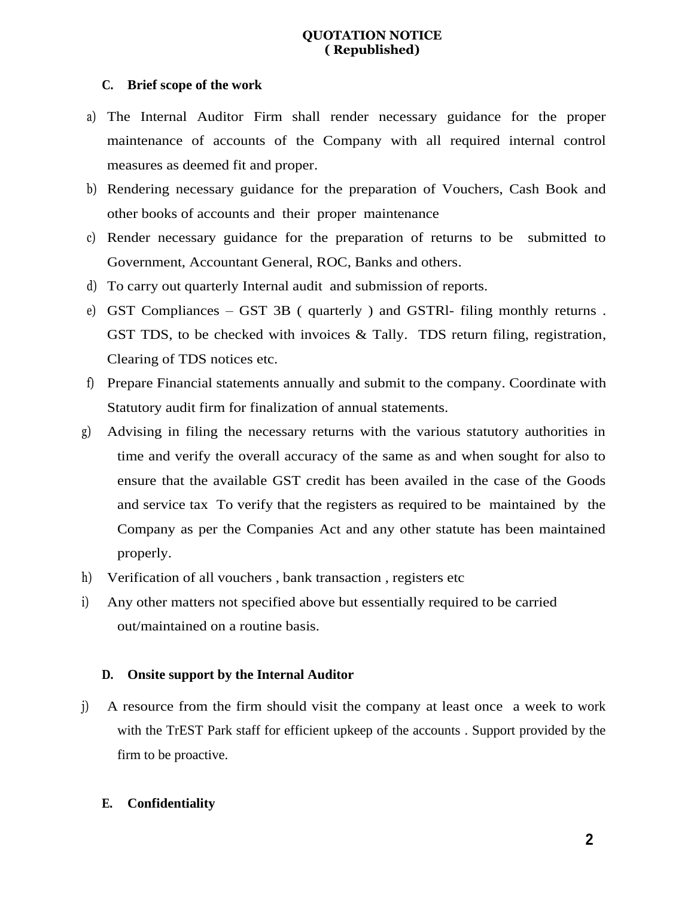#### **C. Brief scope of the work**

- a) The Internal Auditor Firm shall render necessary guidance for the proper maintenance of accounts of the Company with all required internal control measures as deemed fit and proper.
- b) Rendering necessary guidance for the preparation of Vouchers, Cash Book and other books of accounts and their proper maintenance
- c) Render necessary guidance for the preparation of returns to be submitted to Government, Accountant General, ROC, Banks and others.
- d) To carry out quarterly Internal audit and submission of reports.
- e) GST Compliances GST 3B ( quarterly ) and GSTRl- filing monthly returns . GST TDS, to be checked with invoices & Tally. TDS return filing, registration, Clearing of TDS notices etc.
- f) Prepare Financial statements annually and submit to the company. Coordinate with Statutory audit firm for finalization of annual statements.
- g) Advising in filing the necessary returns with the various statutory authorities in time and verify the overall accuracy of the same as and when sought for also to ensure that the available GST credit has been availed in the case of the Goods and service tax To verify that the registers as required to be maintained by the Company as per the Companies Act and any other statute has been maintained properly.
- h) Verification of all vouchers , bank transaction , registers etc
- i) Any other matters not specified above but essentially required to be carried out/maintained on a routine basis.

#### **D. Onsite support by the Internal Auditor**

j) A resource from the firm should visit the company at least once a week to work with the TrEST Park staff for efficient upkeep of the accounts . Support provided by the firm to be proactive.

#### **E. Confidentiality**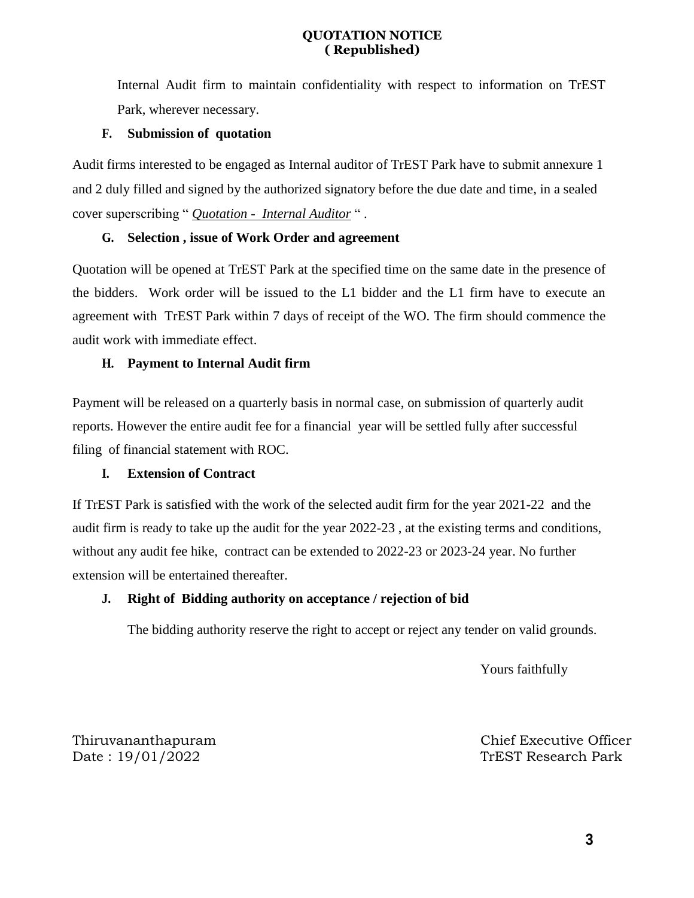Internal Audit firm to maintain confidentiality with respect to information on TrEST Park, wherever necessary.

#### **F. Submission of quotation**

Audit firms interested to be engaged as Internal auditor of TrEST Park have to submit annexure 1 and 2 duly filled and signed by the authorized signatory before the due date and time, in a sealed cover superscribing " *Quotation - Internal Auditor* " .

## **G. Selection , issue of Work Order and agreement**

Quotation will be opened at TrEST Park at the specified time on the same date in the presence of the bidders. Work order will be issued to the L1 bidder and the L1 firm have to execute an agreement with TrEST Park within 7 days of receipt of the WO. The firm should commence the audit work with immediate effect.

#### **H. Payment to Internal Audit firm**

Payment will be released on a quarterly basis in normal case, on submission of quarterly audit reports. However the entire audit fee for a financial year will be settled fully after successful filing of financial statement with ROC.

## **I. Extension of Contract**

If TrEST Park is satisfied with the work of the selected audit firm for the year 2021-22 and the audit firm is ready to take up the audit for the year 2022-23 , at the existing terms and conditions, without any audit fee hike, contract can be extended to 2022-23 or 2023-24 year. No further extension will be entertained thereafter.

## **J. Right of Bidding authority on acceptance / rejection of bid**

The bidding authority reserve the right to accept or reject any tender on valid grounds.

Yours faithfully

Thiruvananthapuram Chief Executive Officer Date : 19/01/2022 TrEST Research Park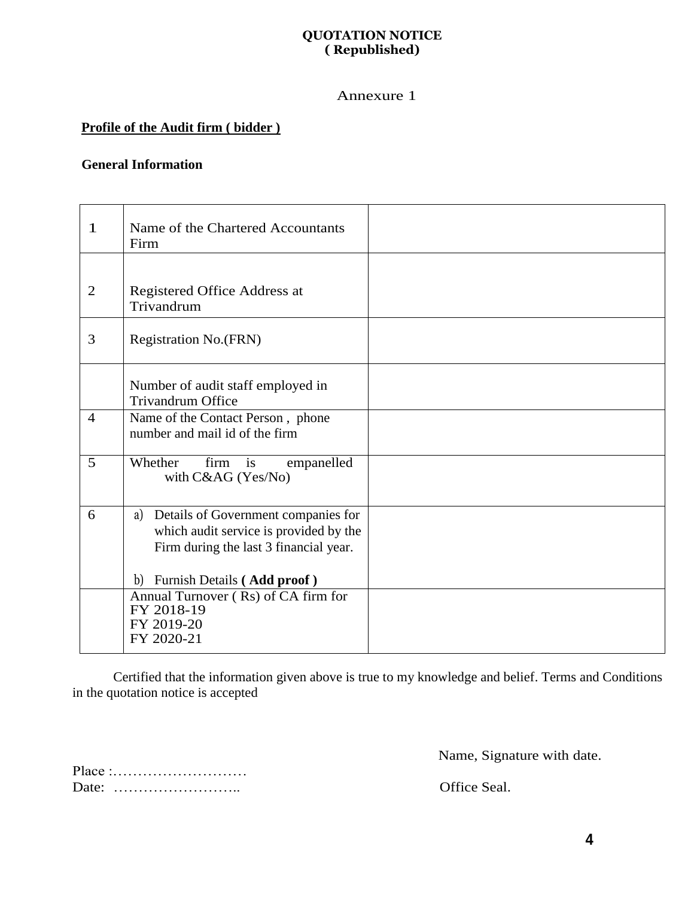#### Annexure 1

# **Profile of the Audit firm ( bidder )**

## **General Information**

| $\mathbf{1}$   | Name of the Chartered Accountants<br>Firm                                                                                                                    |  |
|----------------|--------------------------------------------------------------------------------------------------------------------------------------------------------------|--|
| 2              | Registered Office Address at<br>Trivandrum                                                                                                                   |  |
| 3              | <b>Registration No.(FRN)</b>                                                                                                                                 |  |
|                | Number of audit staff employed in<br><b>Trivandrum Office</b>                                                                                                |  |
| $\overline{4}$ | Name of the Contact Person, phone<br>number and mail id of the firm                                                                                          |  |
| 5              | Whether<br>firm is<br>empanelled<br>with C&AG (Yes/No)                                                                                                       |  |
| 6              | a) Details of Government companies for<br>which audit service is provided by the<br>Firm during the last 3 financial year.<br>b) Furnish Details (Add proof) |  |
|                | Annual Turnover (Rs) of CA firm for<br>FY 2018-19<br>FY 2019-20<br>FY 2020-21                                                                                |  |

Certified that the information given above is true to my knowledge and belief. Terms and Conditions in the quotation notice is accepted

Name, Signature with date.

Place :……………………… Date: …………………….. Office Seal.